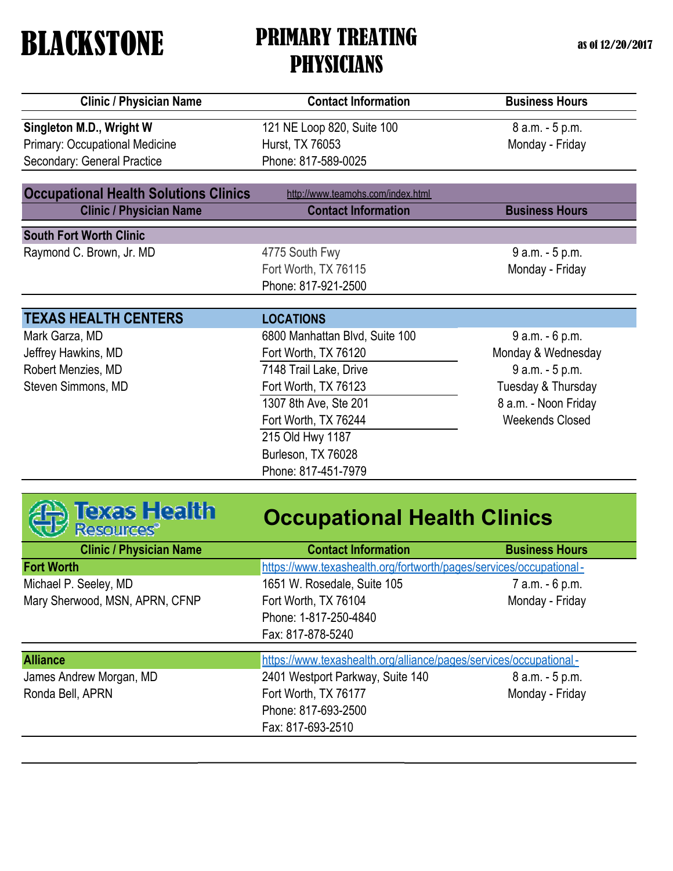as of 12/20/2017

| <b>Clinic / Physician Name</b>               | <b>Contact Information</b>        | <b>Business Hours</b>  |
|----------------------------------------------|-----------------------------------|------------------------|
| Singleton M.D., Wright W                     | 121 NE Loop 820, Suite 100        | 8 a.m. - 5 p.m.        |
| <b>Primary: Occupational Medicine</b>        | Hurst, TX 76053                   | Monday - Friday        |
| Secondary: General Practice                  | Phone: 817-589-0025               |                        |
| <b>Occupational Health Solutions Clinics</b> | http://www.teamohs.com/index.html |                        |
| <b>Clinic / Physician Name</b>               | <b>Contact Information</b>        | <b>Business Hours</b>  |
| <b>South Fort Worth Clinic</b>               |                                   |                        |
| Raymond C. Brown, Jr. MD                     | 4775 South Fwy                    | 9 a.m. - 5 p.m.        |
|                                              | Fort Worth, TX 76115              | Monday - Friday        |
|                                              | Phone: 817-921-2500               |                        |
| <b>TEXAS HEALTH CENTERS</b>                  | <b>LOCATIONS</b>                  |                        |
| Mark Garza, MD                               | 6800 Manhattan Blvd, Suite 100    | 9 a.m. - 6 p.m.        |
| Jeffrey Hawkins, MD                          | Fort Worth, TX 76120              | Monday & Wednesday     |
| Robert Menzies, MD                           | 7148 Trail Lake, Drive            | 9 a.m. - 5 p.m.        |
| Steven Simmons, MD                           | Fort Worth, TX 76123              | Tuesday & Thursday     |
|                                              | 1307 8th Ave, Ste 201             | 8 a.m. - Noon Friday   |
|                                              | Fort Worth, TX 76244              | <b>Weekends Closed</b> |
|                                              | 215 Old Hwy 1187                  |                        |
|                                              | Burleson, TX 76028                |                        |
|                                              | Phone: 817-451-7979               |                        |



# **Occupational Health Clinics**

| <b>Clinic / Physician Name</b> | <b>Contact Information</b>                                         | <b>Business Hours</b> |
|--------------------------------|--------------------------------------------------------------------|-----------------------|
| <b>Fort Worth</b>              | https://www.texashealth.org/fortworth/pages/services/occupational- |                       |
| Michael P. Seeley, MD          | 1651 W. Rosedale, Suite 105                                        | 7 a.m. - 6 p.m.       |
| Mary Sherwood, MSN, APRN, CFNP | Fort Worth, TX 76104                                               | Monday - Friday       |
|                                | Phone: 1-817-250-4840                                              |                       |
|                                | Fax: 817-878-5240                                                  |                       |
| <b>Alliance</b>                | https://www.texashealth.org/alliance/pages/services/occupational-  |                       |
| James Andrew Morgan, MD        | 2401 Westport Parkway, Suite 140                                   | 8 a.m. - 5 p.m.       |
| Ronda Bell, APRN               | Fort Worth, TX 76177                                               | Monday - Friday       |
|                                | Phone: 817-693-2500                                                |                       |
|                                | Fax: 817-693-2510                                                  |                       |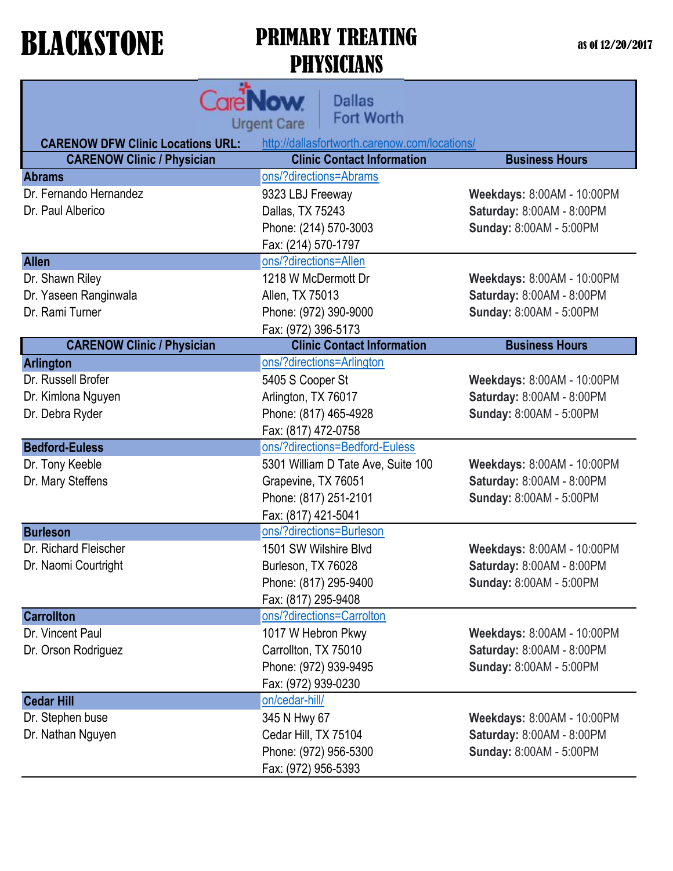as of 12/20/2017

|                                          | <b>Dallas</b><br><b>NOW</b><br>Fort Worth<br><b>Urgent Care</b> |                                  |
|------------------------------------------|-----------------------------------------------------------------|----------------------------------|
| <b>CARENOW DFW Clinic Locations URL:</b> | http://dallasfortworth.carenow.com/locations/                   |                                  |
| <b>CARENOW Clinic / Physician</b>        | <b>Clinic Contact Information</b>                               | <b>Business Hours</b>            |
| <b>Abrams</b>                            | ons/?directions=Abrams                                          |                                  |
| Dr. Fernando Hernandez                   | 9323 LBJ Freeway                                                | Weekdays: 8:00AM - 10:00PM       |
| Dr. Paul Alberico                        | Dallas, TX 75243                                                | Saturday: 8:00AM - 8:00PM        |
|                                          | Phone: (214) 570-3003                                           | Sunday: 8:00AM - 5:00PM          |
|                                          | Fax: (214) 570-1797                                             |                                  |
| <b>Allen</b>                             | ons/?directions=Allen                                           |                                  |
| Dr. Shawn Riley                          | 1218 W McDermott Dr                                             | Weekdays: 8:00AM - 10:00PM       |
| Dr. Yaseen Ranginwala                    | Allen, TX 75013                                                 | Saturday: 8:00AM - 8:00PM        |
| Dr. Rami Turner                          | Phone: (972) 390-9000                                           | Sunday: 8:00AM - 5:00PM          |
|                                          | Fax: (972) 396-5173                                             |                                  |
| <b>CARENOW Clinic / Physician</b>        | <b>Clinic Contact Information</b>                               | <b>Business Hours</b>            |
| <b>Arlington</b>                         | ons/?directions=Arlington                                       |                                  |
| Dr. Russell Brofer                       | 5405 S Cooper St                                                | Weekdays: 8:00AM - 10:00PM       |
| Dr. Kimlona Nguyen                       | Arlington, TX 76017                                             | Saturday: 8:00AM - 8:00PM        |
| Dr. Debra Ryder                          | Phone: (817) 465-4928                                           | Sunday: 8:00AM - 5:00PM          |
|                                          | Fax: (817) 472-0758                                             |                                  |
| <b>Bedford-Euless</b>                    | ons/?directions=Bedford-Euless                                  |                                  |
| Dr. Tony Keeble                          | 5301 William D Tate Ave, Suite 100                              | Weekdays: 8:00AM - 10:00PM       |
| Dr. Mary Steffens                        | Grapevine, TX 76051                                             | Saturday: 8:00AM - 8:00PM        |
|                                          | Phone: (817) 251-2101                                           | Sunday: 8:00AM - 5:00PM          |
|                                          | Fax: (817) 421-5041                                             |                                  |
| <b>Burleson</b>                          | ons/?directions=Burleson                                        |                                  |
| Dr. Richard Fleischer                    | 1501 SW Wilshire Blvd                                           | Weekdays: 8:00AM - 10:00PM       |
| Dr. Naomi Courtright                     | Burleson, TX 76028                                              | <b>Saturday: 8:00AM - 8:00PM</b> |
|                                          | Phone: (817) 295-9400                                           | Sunday: 8:00AM - 5:00PM          |
|                                          | Fax: (817) 295-9408                                             |                                  |
| <b>Carrollton</b>                        | ons/?directions=Carrolton                                       |                                  |
| Dr. Vincent Paul                         | 1017 W Hebron Pkwy                                              | Weekdays: 8:00AM - 10:00PM       |
| Dr. Orson Rodriguez                      | Carrollton, TX 75010                                            | Saturday: 8:00AM - 8:00PM        |
|                                          | Phone: (972) 939-9495                                           | Sunday: 8:00AM - 5:00PM          |
|                                          | Fax: (972) 939-0230                                             |                                  |
| <b>Cedar Hill</b>                        | on/cedar-hill/                                                  |                                  |
| Dr. Stephen buse                         | 345 N Hwy 67                                                    | Weekdays: 8:00AM - 10:00PM       |
| Dr. Nathan Nguyen                        | Cedar Hill, TX 75104                                            | Saturday: 8:00AM - 8:00PM        |
|                                          | Phone: (972) 956-5300                                           | Sunday: 8:00AM - 5:00PM          |
|                                          | Fax: (972) 956-5393                                             |                                  |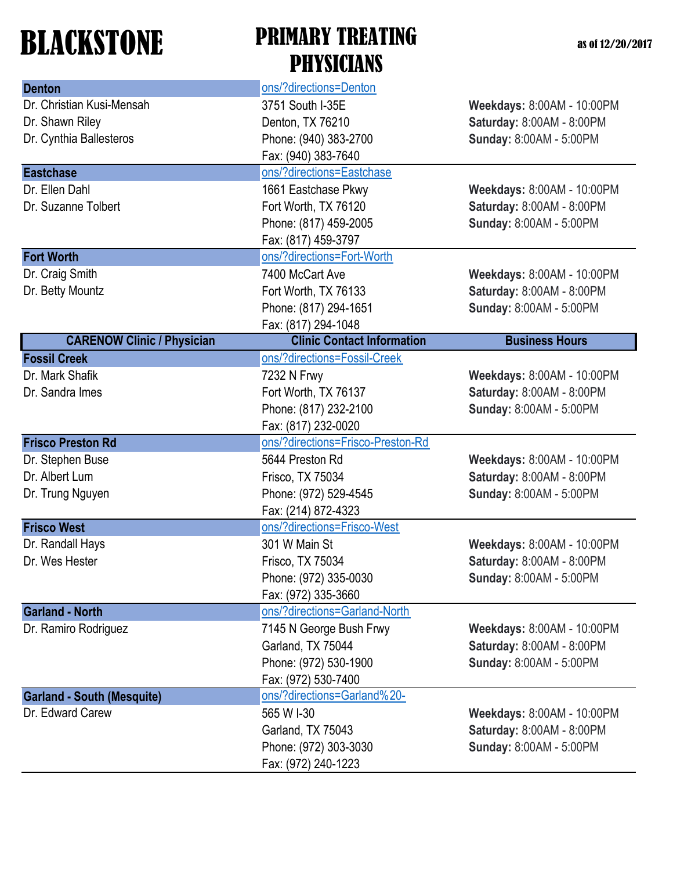| <b>Denton</b>                     | ons/?directions=Denton            |                            |
|-----------------------------------|-----------------------------------|----------------------------|
| Dr. Christian Kusi-Mensah         | 3751 South I-35E                  | Weekdays: 8:00AM - 10:00PM |
| Dr. Shawn Riley                   | Denton, TX 76210                  | Saturday: 8:00AM - 8:00PM  |
| Dr. Cynthia Ballesteros           | Phone: (940) 383-2700             | Sunday: 8:00AM - 5:00PM    |
|                                   | Fax: (940) 383-7640               |                            |
| <b>Eastchase</b>                  | ons/?directions=Eastchase         |                            |
| Dr. Ellen Dahl                    | 1661 Eastchase Pkwy               | Weekdays: 8:00AM - 10:00PM |
| Dr. Suzanne Tolbert               | Fort Worth, TX 76120              | Saturday: 8:00AM - 8:00PM  |
|                                   | Phone: (817) 459-2005             | Sunday: 8:00AM - 5:00PM    |
|                                   | Fax: (817) 459-3797               |                            |
| <b>Fort Worth</b>                 | ons/?directions=Fort-Worth        |                            |
| Dr. Craig Smith                   | 7400 McCart Ave                   | Weekdays: 8:00AM - 10:00PM |
| Dr. Betty Mountz                  | Fort Worth, TX 76133              | Saturday: 8:00AM - 8:00PM  |
|                                   | Phone: (817) 294-1651             | Sunday: 8:00AM - 5:00PM    |
|                                   | Fax: (817) 294-1048               |                            |
| <b>CARENOW Clinic / Physician</b> | <b>Clinic Contact Information</b> | <b>Business Hours</b>      |
| <b>Fossil Creek</b>               | ons/?directions=Fossil-Creek      |                            |
| Dr. Mark Shafik                   | 7232 N Frwy                       | Weekdays: 8:00AM - 10:00PM |
| Dr. Sandra Imes                   | Fort Worth, TX 76137              | Saturday: 8:00AM - 8:00PM  |
|                                   | Phone: (817) 232-2100             | Sunday: 8:00AM - 5:00PM    |
|                                   | Fax: (817) 232-0020               |                            |
| <b>Frisco Preston Rd</b>          | ons/?directions=Frisco-Preston-Rd |                            |
| Dr. Stephen Buse                  | 5644 Preston Rd                   | Weekdays: 8:00AM - 10:00PM |
| Dr. Albert Lum                    | Frisco, TX 75034                  | Saturday: 8:00AM - 8:00PM  |
| Dr. Trung Nguyen                  | Phone: (972) 529-4545             | Sunday: 8:00AM - 5:00PM    |
|                                   | Fax: (214) 872-4323               |                            |
| <b>Frisco West</b>                | ons/?directions=Frisco-West       |                            |
| Dr. Randall Hays                  | 301 W Main St                     | Weekdays: 8:00AM - 10:00PM |
| Dr. Wes Hester                    | Frisco, TX 75034                  | Saturday: 8:00AM - 8:00PM  |
|                                   | Phone: (972) 335-0030             | Sunday: 8:00AM - 5:00PM    |
|                                   | Fax: (972) 335-3660               |                            |
| <b>Garland - North</b>            | ons/?directions=Garland-North     |                            |
| Dr. Ramiro Rodriguez              | 7145 N George Bush Frwy           | Weekdays: 8:00AM - 10:00PM |
|                                   | Garland, TX 75044                 | Saturday: 8:00AM - 8:00PM  |
|                                   | Phone: (972) 530-1900             | Sunday: 8:00AM - 5:00PM    |
|                                   | Fax: (972) 530-7400               |                            |
| <b>Garland - South (Mesquite)</b> | ons/?directions=Garland%20-       |                            |
| Dr. Edward Carew                  | 565 W I-30                        | Weekdays: 8:00AM - 10:00PM |
|                                   | Garland, TX 75043                 | Saturday: 8:00AM - 8:00PM  |
|                                   | Phone: (972) 303-3030             | Sunday: 8:00AM - 5:00PM    |
|                                   | Fax: (972) 240-1223               |                            |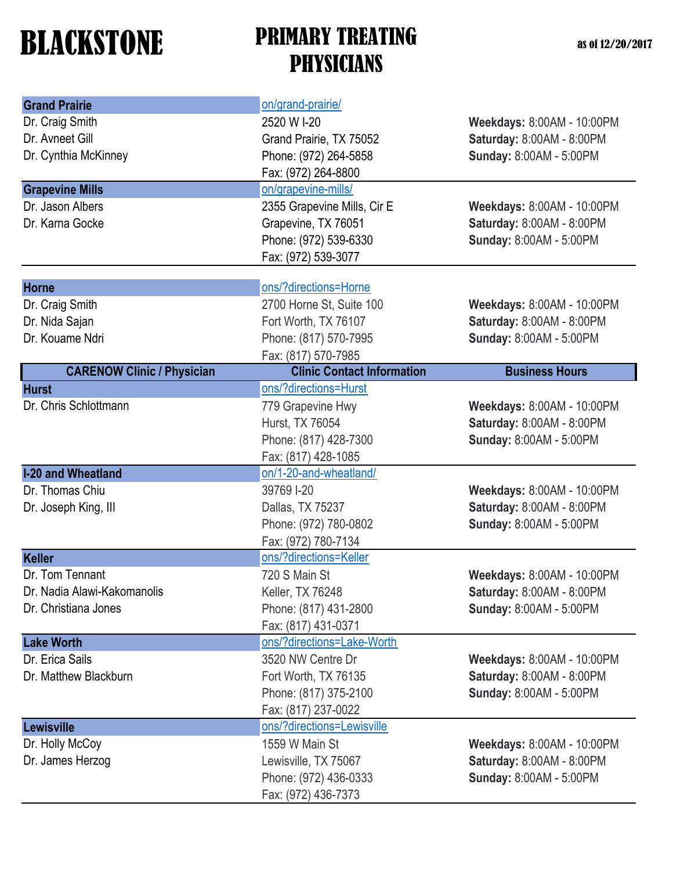| <b>Grand Prairie</b>              | on/grand-prairie/                 |                            |
|-----------------------------------|-----------------------------------|----------------------------|
| Dr. Craig Smith                   | 2520 W I-20                       | Weekdays: 8:00AM - 10:00PM |
| Dr. Avneet Gill                   | Grand Prairie, TX 75052           | Saturday: 8:00AM - 8:00PM  |
| Dr. Cynthia McKinney              | Phone: (972) 264-5858             | Sunday: 8:00AM - 5:00PM    |
|                                   | Fax: (972) 264-8800               |                            |
| <b>Grapevine Mills</b>            | on/grapevine-mills/               |                            |
| Dr. Jason Albers                  | 2355 Grapevine Mills, Cir E       | Weekdays: 8:00AM - 10:00PM |
| Dr. Karna Gocke                   | Grapevine, TX 76051               | Saturday: 8:00AM - 8:00PM  |
|                                   | Phone: (972) 539-6330             | Sunday: 8:00AM - 5:00PM    |
|                                   | Fax: (972) 539-3077               |                            |
| <b>Horne</b>                      | ons/?directions=Horne             |                            |
| Dr. Craig Smith                   | 2700 Horne St, Suite 100          | Weekdays: 8:00AM - 10:00PM |
| Dr. Nida Sajan                    | Fort Worth, TX 76107              | Saturday: 8:00AM - 8:00PM  |
| Dr. Kouame Ndri                   | Phone: (817) 570-7995             | Sunday: 8:00AM - 5:00PM    |
|                                   | Fax: (817) 570-7985               |                            |
| <b>CARENOW Clinic / Physician</b> | <b>Clinic Contact Information</b> | <b>Business Hours</b>      |
| <b>Hurst</b>                      | ons/?directions=Hurst             |                            |
| Dr. Chris Schlottmann             | 779 Grapevine Hwy                 | Weekdays: 8:00AM - 10:00PM |
|                                   | Hurst, TX 76054                   | Saturday: 8:00AM - 8:00PM  |
|                                   | Phone: (817) 428-7300             | Sunday: 8:00AM - 5:00PM    |
|                                   | Fax: (817) 428-1085               |                            |
| <b>I-20 and Wheatland</b>         | on/1-20-and-wheatland/            |                            |
| Dr. Thomas Chiu                   | 39769 I-20                        | Weekdays: 8:00AM - 10:00PM |
| Dr. Joseph King, III              | Dallas, TX 75237                  | Saturday: 8:00AM - 8:00PM  |
|                                   | Phone: (972) 780-0802             | Sunday: 8:00AM - 5:00PM    |
|                                   | Fax: (972) 780-7134               |                            |
| <b>Keller</b>                     | ons/?directions=Keller            |                            |
| Dr. Tom Tennant                   | 720 S Main St                     | Weekdays: 8:00AM - 10:00PM |
| Dr. Nadia Alawi-Kakomanolis       | Keller, TX 76248                  | Saturday: 8:00AM - 8:00PM  |
| Dr. Christiana Jones              | Phone: (817) 431-2800             | Sunday: 8:00AM - 5:00PM    |
|                                   | Fax: (817) 431-0371               |                            |
| <b>Lake Worth</b>                 | ons/?directions=Lake-Worth        |                            |
| Dr. Erica Sails                   | 3520 NW Centre Dr                 | Weekdays: 8:00AM - 10:00PM |
| Dr. Matthew Blackburn             | Fort Worth, TX 76135              | Saturday: 8:00AM - 8:00PM  |
|                                   | Phone: (817) 375-2100             | Sunday: 8:00AM - 5:00PM    |
|                                   | Fax: (817) 237-0022               |                            |
| Lewisville                        | ons/?directions=Lewisville        |                            |
| Dr. Holly McCoy                   | 1559 W Main St                    | Weekdays: 8:00AM - 10:00PM |
| Dr. James Herzog                  | Lewisville, TX 75067              | Saturday: 8:00AM - 8:00PM  |
|                                   | Phone: (972) 436-0333             | Sunday: 8:00AM - 5:00PM    |
|                                   | Fax: (972) 436-7373               |                            |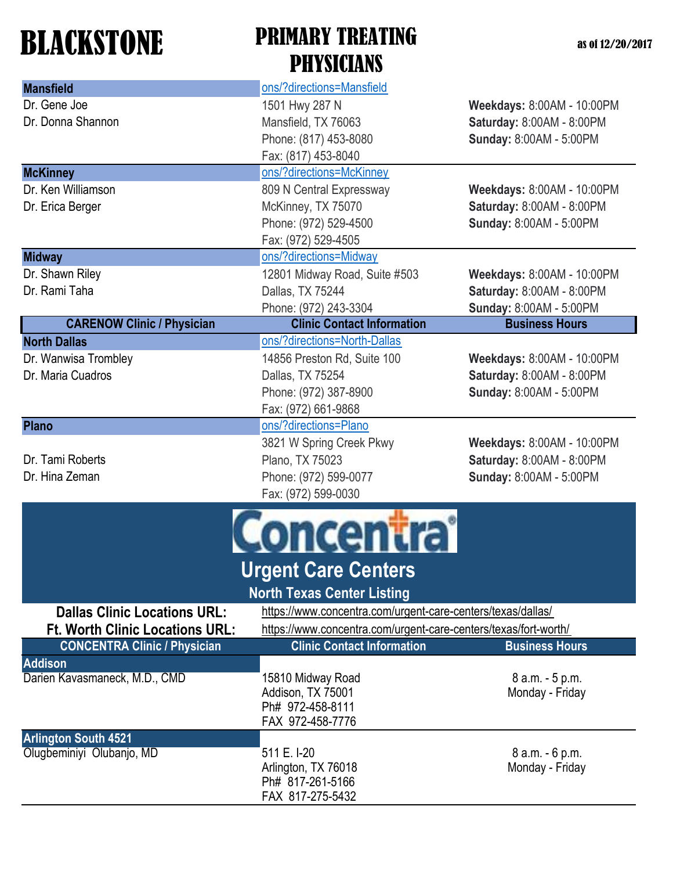| <b>Mansfield</b>                                         | ons/?directions=Mansfield                                       |                            |  |
|----------------------------------------------------------|-----------------------------------------------------------------|----------------------------|--|
| Dr. Gene Joe                                             | 1501 Hwy 287 N                                                  | Weekdays: 8:00AM - 10:00PM |  |
| Dr. Donna Shannon                                        | Mansfield, TX 76063                                             | Saturday: 8:00AM - 8:00PM  |  |
|                                                          | Phone: (817) 453-8080                                           | Sunday: 8:00AM - 5:00PM    |  |
|                                                          | Fax: (817) 453-8040                                             |                            |  |
| <b>McKinney</b>                                          | ons/?directions=McKinney                                        |                            |  |
| Dr. Ken Williamson                                       | 809 N Central Expressway                                        | Weekdays: 8:00AM - 10:00PM |  |
| Dr. Erica Berger                                         | McKinney, TX 75070                                              | Saturday: 8:00AM - 8:00PM  |  |
|                                                          | Phone: (972) 529-4500                                           | Sunday: 8:00AM - 5:00PM    |  |
|                                                          | Fax: (972) 529-4505                                             |                            |  |
| <b>Midway</b>                                            | ons/?directions=Midway                                          |                            |  |
| Dr. Shawn Riley                                          | 12801 Midway Road, Suite #503                                   | Weekdays: 8:00AM - 10:00PM |  |
| Dr. Rami Taha                                            | Dallas, TX 75244                                                | Saturday: 8:00AM - 8:00PM  |  |
|                                                          | Phone: (972) 243-3304                                           | Sunday: 8:00AM - 5:00PM    |  |
| <b>CARENOW Clinic / Physician</b>                        | <b>Clinic Contact Information</b>                               | <b>Business Hours</b>      |  |
| <b>North Dallas</b>                                      | ons/?directions=North-Dallas                                    |                            |  |
| Dr. Wanwisa Trombley                                     | 14856 Preston Rd, Suite 100                                     | Weekdays: 8:00AM - 10:00PM |  |
| Dr. Maria Cuadros                                        | Dallas, TX 75254                                                | Saturday: 8:00AM - 8:00PM  |  |
|                                                          | Phone: (972) 387-8900                                           | Sunday: 8:00AM - 5:00PM    |  |
|                                                          | Fax: (972) 661-9868                                             |                            |  |
| <b>Plano</b>                                             | ons/?directions=Plano                                           |                            |  |
|                                                          | 3821 W Spring Creek Pkwy                                        | Weekdays: 8:00AM - 10:00PM |  |
| Dr. Tami Roberts                                         | Plano, TX 75023                                                 | Saturday: 8:00AM - 8:00PM  |  |
| Dr. Hina Zeman                                           | Phone: (972) 599-0077                                           | Sunday: 8:00AM - 5:00PM    |  |
|                                                          | Fax: (972) 599-0030                                             |                            |  |
| <u>oncentra</u>                                          |                                                                 |                            |  |
|                                                          | <b>Urgent Care Centers</b>                                      |                            |  |
|                                                          | <b>North Texas Center Listing</b>                               |                            |  |
| <b>Dallas Clinic Locations URL:</b>                      | https://www.concentra.com/urgent-care-centers/texas/dallas/     |                            |  |
| <b>Ft. Worth Clinic Locations URL:</b>                   | https://www.concentra.com/urgent-care-centers/texas/fort-worth/ |                            |  |
| <b>CONCENTRA Clinic / Physician</b>                      | <b>Clinic Contact Information</b>                               | <b>Business Hours</b>      |  |
| <b>Addison</b>                                           |                                                                 |                            |  |
| Darien Kavasmaneck, M.D., CMD                            | 15810 Midway Road                                               | 8 a.m. - 5 p.m.            |  |
|                                                          | Addison, TX 75001                                               | Monday - Friday            |  |
|                                                          | Ph# 972-458-8111                                                |                            |  |
|                                                          | FAX 972-458-7776                                                |                            |  |
| <b>Arlington South 4521</b><br>Olugbeminiyi Olubanjo, MD | 511 E. I-20                                                     | 8 a.m. - 6 p.m.            |  |
|                                                          | Arlington, TX 76018                                             | Monday - Friday            |  |
|                                                          | Ph# 817-261-5166                                                |                            |  |
|                                                          | FAX 817-275-5432                                                |                            |  |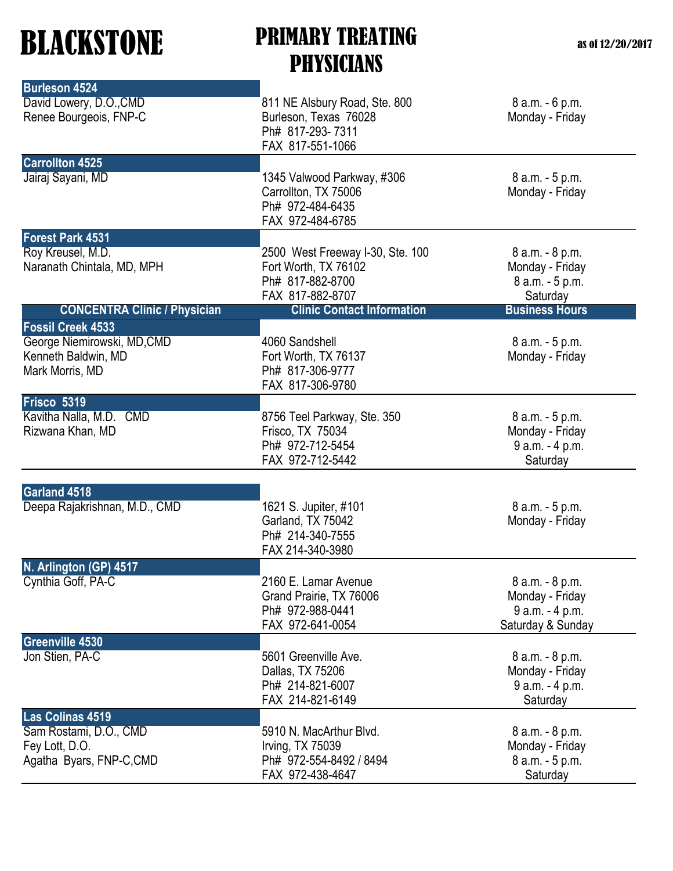| <b>Burleson 4524</b>                                                  |                                                                                                  |                                                                            |
|-----------------------------------------------------------------------|--------------------------------------------------------------------------------------------------|----------------------------------------------------------------------------|
| David Lowery, D.O., CMD<br>Renee Bourgeois, FNP-C                     | 811 NE Alsbury Road, Ste. 800<br>Burleson, Texas 76028<br>Ph# 817-293-7311                       | 8 a.m. - 6 p.m.<br>Monday - Friday                                         |
|                                                                       | FAX 817-551-1066                                                                                 |                                                                            |
| <b>Carrollton 4525</b>                                                |                                                                                                  |                                                                            |
| Jairaj Sayani, MD                                                     | 1345 Valwood Parkway, #306<br>Carrollton, TX 75006<br>Ph# 972-484-6435<br>FAX 972-484-6785       | 8 a.m. - 5 p.m.<br>Monday - Friday                                         |
| <b>Forest Park 4531</b>                                               |                                                                                                  |                                                                            |
| Roy Kreusel, M.D.<br>Naranath Chintala, MD, MPH                       | 2500 West Freeway I-30, Ste. 100<br>Fort Worth, TX 76102<br>Ph# 817-882-8700<br>FAX 817-882-8707 | 8 a.m. - 8 p.m.<br>Monday - Friday<br>8 a.m. - 5 p.m.<br>Saturday          |
| <b>CONCENTRA Clinic / Physician</b>                                   | <b>Clinic Contact Information</b>                                                                | <b>Business Hours</b>                                                      |
| <b>Fossil Creek 4533</b>                                              |                                                                                                  |                                                                            |
| George Niemirowski, MD, CMD<br>Kenneth Baldwin, MD<br>Mark Morris, MD | 4060 Sandshell<br>Fort Worth, TX 76137<br>Ph# 817-306-9777<br>FAX 817-306-9780                   | 8 a.m. - 5 p.m.<br>Monday - Friday                                         |
| Frisco 5319                                                           |                                                                                                  |                                                                            |
| Kavitha Nalla, M.D.<br><b>CMD</b><br>Rizwana Khan, MD                 | 8756 Teel Parkway, Ste. 350<br>Frisco, TX 75034<br>Ph# 972-712-5454<br>FAX 972-712-5442          | 8 a.m. - 5 p.m.<br>Monday - Friday<br>9 a.m. - 4 p.m.<br>Saturday          |
|                                                                       |                                                                                                  |                                                                            |
| Garland 4518<br>Deepa Rajakrishnan, M.D., CMD                         | 1621 S. Jupiter, #101<br>Garland, TX 75042<br>Ph# 214-340-7555<br>FAX 214-340-3980               | 8 a.m. - 5 p.m.<br>Monday - Friday                                         |
| N. Arlington (GP) 4517                                                |                                                                                                  |                                                                            |
| Cynthia Goff, PA-C                                                    | 2160 E. Lamar Avenue<br>Grand Prairie, TX 76006<br>Ph# 972-988-0441<br>FAX 972-641-0054          | 8 a.m. - 8 p.m.<br>Monday - Friday<br>9 a.m. - 4 p.m.<br>Saturday & Sunday |
| <b>Greenville 4530</b>                                                |                                                                                                  |                                                                            |
| Jon Stien, PA-C                                                       | 5601 Greenville Ave.<br>Dallas, TX 75206<br>Ph# 214-821-6007<br>FAX 214-821-6149                 | 8 a.m. - 8 p.m.<br>Monday - Friday<br>9 a.m. - 4 p.m.<br>Saturday          |
| Las Colinas 4519                                                      |                                                                                                  |                                                                            |
| Sam Rostami, D.O., CMD<br>Fey Lott, D.O.<br>Agatha Byars, FNP-C, CMD  | 5910 N. MacArthur Blvd.<br>Irving, TX 75039<br>Ph# 972-554-8492 / 8494<br>FAX 972-438-4647       | 8 a.m. - 8 p.m.<br>Monday - Friday<br>8 a.m. - 5 p.m.<br>Saturday          |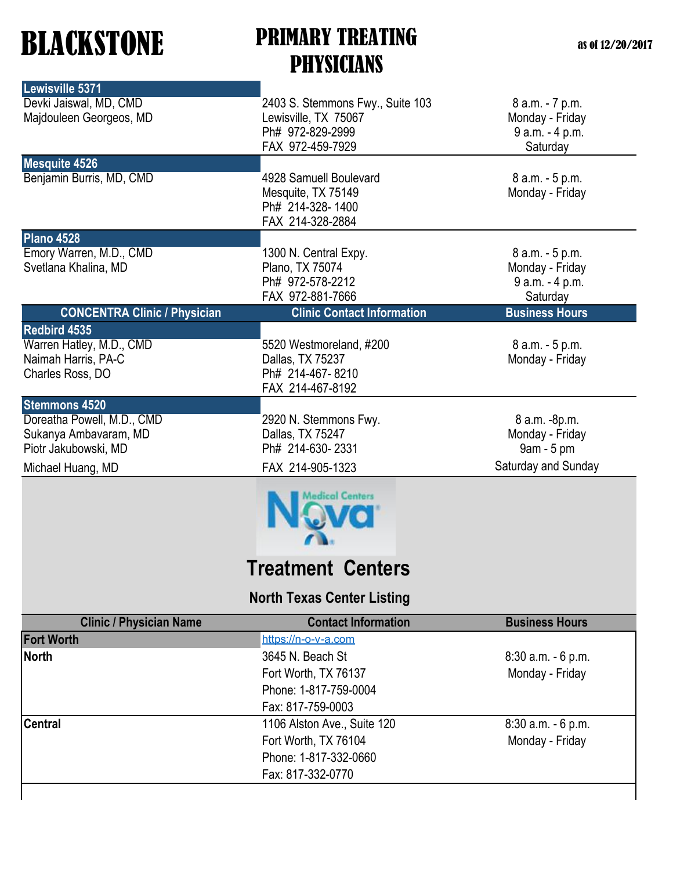| Lewisville 5371                                                                                                          |                                                                                                  |                                                                       |
|--------------------------------------------------------------------------------------------------------------------------|--------------------------------------------------------------------------------------------------|-----------------------------------------------------------------------|
| Devki Jaiswal, MD, CMD<br>Majdouleen Georgeos, MD                                                                        | 2403 S. Stemmons Fwy., Suite 103<br>Lewisville, TX 75067<br>Ph# 972-829-2999<br>FAX 972-459-7929 | 8 a.m. - 7 p.m.<br>Monday - Friday<br>9 a.m. - 4 p.m.<br>Saturday     |
| <b>Mesquite 4526</b><br>Benjamin Burris, MD, CMD                                                                         | 4928 Samuell Boulevard<br>Mesquite, TX 75149<br>Ph# 214-328-1400<br>FAX 214-328-2884             | 8 a.m. - 5 p.m.<br>Monday - Friday                                    |
| <b>Plano 4528</b><br>Emory Warren, M.D., CMD<br>Svetlana Khalina, MD                                                     | 1300 N. Central Expy.<br>Plano, TX 75074<br>Ph# 972-578-2212<br>FAX 972-881-7666                 | 8 a.m. - 5 p.m.<br>Monday - Friday<br>9 a.m. - 4 p.m.<br>Saturday     |
| <b>CONCENTRA Clinic / Physician</b>                                                                                      | <b>Clinic Contact Information</b>                                                                | <b>Business Hours</b>                                                 |
| Redbird 4535<br>Warren Hatley, M.D., CMD<br>Naimah Harris, PA-C<br>Charles Ross, DO                                      | 5520 Westmoreland, #200<br>Dallas, TX 75237<br>Ph# 214-467-8210<br>FAX 214-467-8192              | 8 a.m. - 5 p.m.<br>Monday - Friday                                    |
| <b>Stemmons 4520</b><br>Doreatha Powell, M.D., CMD<br>Sukanya Ambavaram, MD<br>Piotr Jakubowski, MD<br>Michael Huang, MD | 2920 N. Stemmons Fwy.<br>Dallas, TX 75247<br>Ph# 214-630-2331<br>FAX 214-905-1323                | 8 a.m. -8p.m.<br>Monday - Friday<br>9am - 5 pm<br>Saturday and Sunday |
|                                                                                                                          | <b>Medical Centers</b>                                                                           |                                                                       |
|                                                                                                                          | Treatment Centers                                                                                |                                                                       |
|                                                                                                                          | <b>North Texas Center Listing</b>                                                                |                                                                       |
| <b>Clinic / Physician Name</b>                                                                                           | <b>Contact Information</b>                                                                       | <b>Business Hours</b>                                                 |
| <b>Fort Worth</b>                                                                                                        | https://n-o-v-a.com                                                                              |                                                                       |
| <b>North</b>                                                                                                             | 3645 N. Beach St<br>Fort Worth, TX 76137<br>Phone: 1-817-759-0004                                | 8:30 a.m. - 6 p.m.<br>Monday - Friday                                 |
|                                                                                                                          | Fax: 817-759-0003                                                                                |                                                                       |

Phone: 1-817-332-0660 Fax: 817-332-0770

**Central** 21106 Alston Ave., Suite 120 8:30 a.m. - 6 p.m. Fort Worth, TX 76104 Monday - Friday